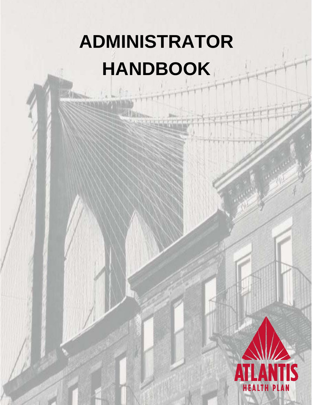# **ADMINISTRATOR HANDBOOK**

**AHP-00117** 

GroupAdministration

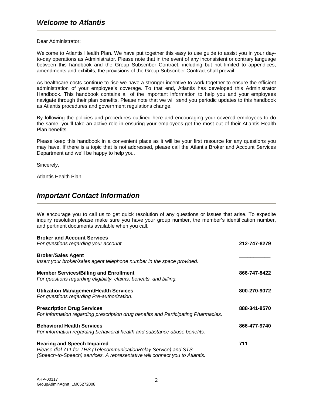Dear Administrator:

Welcome to Atlantis Health Plan. We have put together this easy to use guide to assist you in your dayto-day operations as Administrator. Please note that in the event of any inconsistent or contrary language between this handbook and the Group Subscriber Contract, including but not limited to appendices, amendments and exhibits, the provisions of the Group Subscriber Contract shall prevail.

As healthcare costs continue to rise we have a stronger incentive to work together to ensure the efficient administration of your employee's coverage. To that end, Atlantis has developed this Administrator Handbook. This handbook contains all of the important information to help you and your employees navigate through their plan benefits. Please note that we will send you periodic updates to this handbook as Atlantis procedures and government regulations change.

By following the policies and procedures outlined here and encouraging your covered employees to do the same, you'll take an active role in ensuring your employees get the most out of their Atlantis Health Plan benefits.

Please keep this handbook in a convenient place as it will be your first resource for any questions you may have. If there is a topic that is not addressed, please call the Atlantis Broker and Account Services Department and we'll be happy to help you.

Sincerely,

Atlantis Health Plan

# *Important Contact Information*

We encourage you to call us to get quick resolution of any questions or issues that arise. To expedite inquiry resolution please make sure you have your group number, the member's identification number, and pertinent documents available when you call.

| <b>Broker and Account Services</b><br>For questions regarding your account.                                                                                                           | 212-747-8279 |
|---------------------------------------------------------------------------------------------------------------------------------------------------------------------------------------|--------------|
| <b>Broker/Sales Agent</b><br>Insert your broker/sales agent telephone number in the space provided.                                                                                   |              |
| <b>Member Services/Billing and Enrollment</b><br>For questions regarding eligibility, claims, benefits, and billing.                                                                  | 866-747-8422 |
| <b>Utilization Management/Health Services</b><br>For questions regarding Pre-authorization.                                                                                           | 800-270-9072 |
| <b>Prescription Drug Services</b><br>For information regarding prescription drug benefits and Participating Pharmacies.                                                               | 888-341-8570 |
| <b>Behavioral Health Services</b><br>For information regarding behavioral health and substance abuse benefits.                                                                        | 866-477-9740 |
| <b>Hearing and Speech Impaired</b><br>Please dial 711 for TRS (TelecommunicationRelay Service) and STS<br>(Speech-to-Speech) services. A representative will connect you to Atlantis. | 711          |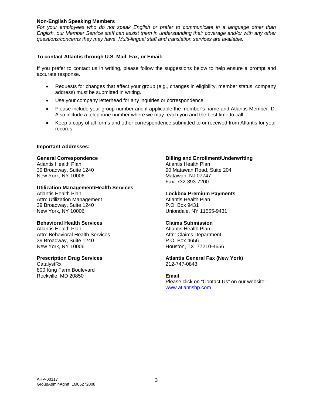#### **Non-English Speaking Members**

*For your employees who do not speak English or prefer to communicate in a language other than English, our Member Service staff can assist them in understanding their coverage and/or with any other questions/concerns they may have. Multi-lingual staff and translation services are available.* 

#### **To contact Atlantis through U.S. Mail, Fax, or Email:**

If you prefer to contact us in writing, please follow the suggestions below to help ensure a prompt and accurate response.

- Requests for changes that affect your group (e.g., changes in eligibility, member status, company address) must be submitted in writing.
- Use your company letterhead for any inquiries or correspondence.
- Please include your group number and if applicable the member's name and Atlantis Member ID. Also include a telephone number where we may reach you and the best time to call.
- Keep a copy of all forms and other correspondence submitted to or received from Atlantis for your records.

#### **Important Addresses:**

#### **General Correspondence**

Atlantis Health Plan 39 Broadway, Suite 1240 New York, NY 10006

#### **Utilization Management/Health Services**

Atlantis Health Plan Attn: Utilization Management 39 Broadway, Suite 1240 New York, NY 10006

#### **Behavioral Health Services**

Atlantis Health Plan Attn: Behavioral Health Services 39 Broadway, Suite 1240 New York, NY 10006

#### **Prescription Drug Services**

**CatalystRx** 800 King Farm Boulevard Rockville, MD 20850

#### **Billing and Enrollment/Underwriting**

Atlantis Health Plan 90 Matawan Road, Suite 204 Matawan, NJ 07747 Fax: 732-393-7200

#### **Lockbox Premium Payments**

Atlantis Health Plan P.O. Box 9431 Uniondale, NY 11555-9431

#### **Claims Submission**

Atlantis Health Plan Attn: Claims Department P.O. Box 4656 Houston, TX 77210-4656

#### **Atlantis General Fax (New York)**  212-747-0843

#### **Email**

Please click on "Contact Us" on our website: www.atlantishp.com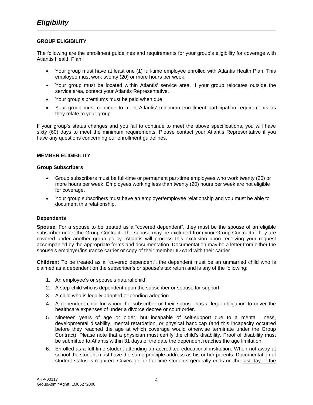### **GROUP ELIGIBILITY**

The following are the enrollment guidelines and requirements for your group's eligibility for coverage with Atlantis Health Plan:

- Your group must have at least one (1) full-time employee enrolled with Atlantis Health Plan. This employee must work twenty (20) or more hours per week.
- Your group must be located within Atlantis' service area. If your group relocates outside the service area, contact your Atlantis Representative.
- Your group's premiums must be paid when due.
- Your group must continue to meet Atlantis' minimum enrollment participation requirements as they relate to your group.

If your group's status changes and you fail to continue to meet the above specifications, you will have sixty (60) days to meet the minimum requirements. Please contact your Atlantis Representative if you have any questions concerning our enrollment guidelines.

#### **MEMBER ELIGIBILITY**

#### **Group Subscribers**

- Group subscribers must be full-time or permanent part-time employees who work twenty (20) or more hours per week. Employees working less than twenty (20) hours per week are not eligible for coverage.
- Your group subscribers must have an employer/employee relationship and you must be able to document this relationship.

#### **Dependents**

**Spouse**: For a spouse to be treated as a "covered dependent", they must be the spouse of an eligible subscriber under the Group Contract. The spouse may be excluded from your Group Contract if they are covered under another group policy. Atlantis will process this exclusion upon receiving your request accompanied by the appropriate forms and documentation. Documentation may be a letter from either the spouse's employer/insurance carrier or copy of their member ID card with their carrier.

**Children:** To be treated as a "covered dependent", the dependent must be an unmarried child who is claimed as a dependent on the subscriber's or spouse's tax return and is any of the following:

- 1. An employee's or spouse's natural child.
- 2. A step-child who is dependent upon the subscriber or spouse for support.
- 3. A child who is legally adopted or pending adoption.
- 4. A dependent child for whom the subscriber or their spouse has a legal obligation to cover the healthcare expenses of under a divorce decree or court order.
- 5. Nineteen years of age or older, but incapable of self-support due to a mental illness, developmental disability, mental retardation, or physical handicap (and this incapacity occurred before they reached the age at which coverage would otherwise terminate under the Group Contract). Please note that a physician must certify the child's disability. Proof of disability must be submitted to Atlantis within 31 days of the date the dependent reaches the age limitation.
- 6. Enrolled as a full-time student attending an accredited educational institution. When not away at school the student must have the same principle address as his or her parents. Documentation of student status is required. Coverage for full-time students generally ends on the last day of the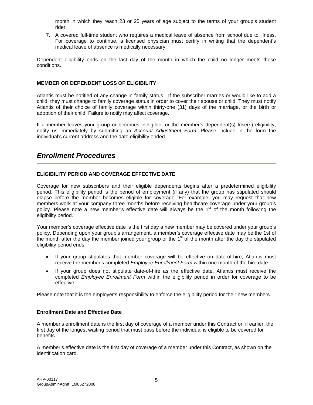month in which they reach 23 or 25 years of age subject to the terms of your group's student rider.

7. A covered full-time student who requires a medical leave of absence from school due to illness. For coverage to continue, a licensed physician must certify in writing that the dependent's medical leave of absence is medically necessary.

Dependent eligibility ends on the last day of the month in which the child no longer meets these conditions.

#### **MEMBER OR DEPENDENT LOSS OF ELIGIBILITY**

Atlantis must be notified of any change in family status.If the subscriber marries or would like to add a child, they must change to family coverage status in order to cover their spouse or child. They must notify Atlantis of their choice of family coverage within thirty-one (31) days of the marriage, or the birth or adoption of their child. Failure to notify may affect coverage.

If a member leaves your group or becomes ineligible, or the member's dependent(s) lose(s) eligibility, notify us immediately by submitting an *Account Adjustment Form*. Please include in the form the individual's current address and the date eligibility ended.

## *Enrollment Procedures*

## **ELIGIBILITY PERIOD AND COVERAGE EFFECTIVE DATE**

Coverage for new subscribers and their eligible dependents begins after a predetermined eligibility period. This eligibility period is the period of employment (if any) that the group has stipulated should elapse before the member becomes eligible for coverage. For example, you may request that new members work at your company three months before receiving healthcare coverage under your group's policy. Please note a new member's effective date will always be the  $1<sup>st</sup>$  of the month following the eligibility period.

Your member's coverage effective date is the first day a new member may be covered under your group's policy. Depending upon your group's arrangement, a member's coverage effective date may be the 1st of the month after the day the member joined your group or the 1<sup>st</sup> of the month after the day the stipulated eligibility period ends.

- If your group stipulates that member coverage will be effective on date-of-hire, Atlantis must receive the member's completed *Employee Enrollment Form* within one month of the hire date.
- If your group does not stipulate date-of-hire as the effective date, Atlantis must receive the completed *Employee Enrollment Form* within the eligibility period in order for coverage to be effective.

Please note that it is the employer's responsibility to enforce the eligibility period for their new members.

#### **Enrollment Date and Effective Date**

A member's enrollment date is the first day of coverage of a member under this Contract or, if earlier, the first day of the longest waiting period that must pass before the individual is eligible to be covered for benefits.

A member's effective date is the first day of coverage of a member under this Contract, as shown on the identification card.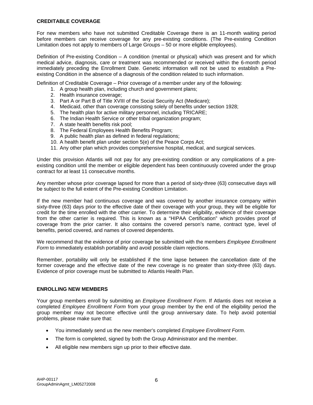#### **CREDITABLE COVERAGE**

For new members who have not submitted Creditable Coverage there is an 11-month waiting period before members can receive coverage for any pre-existing conditions. (The Pre-existing Condition Limitation does not apply to members of Large Groups – 50 or more eligible employees).

Definition of Pre-existing Condition – A condition (mental or physical) which was present and for which medical advice, diagnosis, care or treatment was recommended or received within the 6-month period immediately preceding the Enrollment Date. Genetic information will not be used to establish a Preexisting Condition in the absence of a diagnosis of the condition related to such information.

Definition of Creditable Coverage – Prior coverage of a member under any of the following:

- 1. A group health plan, including church and government plans;
- 2. Health insurance coverage;
- 3. Part A or Part B of Title XVIII of the Social Security Act (Medicare);
- 4. Medicaid, other than coverage consisting solely of benefits under section 1928;
- 5. The health plan for active military personnel, including TRICARE;
- 6. The Indian Health Service or other tribal organization program;
- 7. A state health benefits risk pool;
- 8. The Federal Employees Health Benefits Program;
- 9. A public health plan as defined in federal regulations;
- 10. A health benefit plan under section 5(e) of the Peace Corps Act;
- 11. Any other plan which provides comprehensive hospital, medical, and surgical services.

Under this provision Atlantis will not pay for any pre-existing condition or any complications of a preexisting condition until the member or eligible dependent has been continuously covered under the group contract for at least 11 consecutive months.

Any member whose prior coverage lapsed for more than a period of sixty-three (63) consecutive days will be subject to the full extent of the Pre-existing Condition Limitation.

If the new member had continuous coverage and was covered by another insurance company within sixty-three (63) days prior to the effective date of their coverage with your group, they will be eligible for credit for the time enrolled with the other carrier. To determine their eligibility, evidence of their coverage from the other carrier is required. This is known as a "HIPAA Certification" which provides proof of coverage from the prior carrier. It also contains the covered person's name, contract type, level of benefits, period covered, and names of covered dependents.

We recommend that the evidence of prior coverage be submitted with the members *Employee Enrollment Form* to immediately establish portability and avoid possible claim rejections.

Remember, portability will only be established if the time lapse between the cancellation date of the former coverage and the effective date of the new coverage is no greater than sixty-three (63) days. Evidence of prior coverage must be submitted to Atlantis Health Plan.

#### **ENROLLING NEW MEMBERS**

Your group members enroll by submitting an *Employee Enrollment Form*. If Atlantis does not receive a completed *Employee Enrollment Form* from your group member by the end of the eligibility period the group member may not become effective until the group anniversary date. To help avoid potential problems, please make sure that:

- You immediately send us the new member's completed *Employee Enrollment Form*.
- The form is completed, signed by both the Group Administrator and the member.
- All eligible new members sign up prior to their effective date.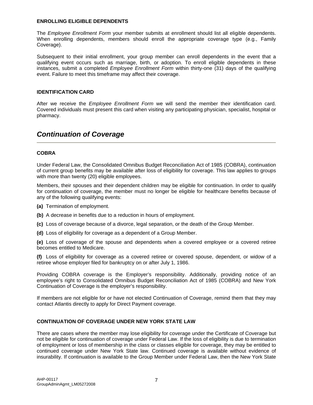#### **ENROLLING ELIGIBLE DEPENDENTS**

The *Employee Enrollment Form* your member submits at enrollment should list all eligible dependents. When enrolling dependents, members should enroll the appropriate coverage type (e.g., Family Coverage).

Subsequent to their initial enrollment, your group member can enroll dependents in the event that a qualifying event occurs such as marriage, birth, or adoption. To enroll eligible dependents in these instances, submit a completed *Employee Enrollment Form* within thirty-one (31) days of the qualifying event. Failure to meet this timeframe may affect their coverage.

#### **IDENTIFICATION CARD**

After we receive the *Employee Enrollment Form* we will send the member their identification card. Covered individuals must present this card when visiting any participating physician, specialist, hospital or pharmacy.

# *Continuation of Coverage*

#### **COBRA**

Under Federal Law, the Consolidated Omnibus Budget Reconciliation Act of 1985 (COBRA), continuation of current group benefits may be available after loss of eligibility for coverage. This law applies to groups with more than twenty (20) eligible employees.

Members, their spouses and their dependent children may be eligible for continuation. In order to qualify for continuation of coverage, the member must no longer be eligible for healthcare benefits because of any of the following qualifying events:

- **(a)** Termination of employment.
- **(b)** A decrease in benefits due to a reduction in hours of employment.
- **(c)** Loss of coverage because of a divorce, legal separation, or the death of the Group Member.
- **(d)** Loss of eligibility for coverage as a dependent of a Group Member.

**(e)** Loss of coverage of the spouse and dependents when a covered employee or a covered retiree becomes entitled to Medicare.

**(f)** Loss of eligibility for coverage as a covered retiree or covered spouse, dependent, or widow of a retiree whose employer filed for bankruptcy on or after July 1, 1986.

Providing COBRA coverage is the Employer's responsibility. Additionally, providing notice of an employee's right to Consolidated Omnibus Budget Reconciliation Act of 1985 (COBRA) and New York Continuation of Coverage is the employer's responsibility.

If members are not eligible for or have not elected Continuation of Coverage, remind them that they may contact Atlantis directly to apply for Direct Payment coverage.

#### **CONTINUATION OF COVERAGE UNDER NEW YORK STATE LAW**

There are cases where the member may lose eligibility for coverage under the Certificate of Coverage but not be eligible for continuation of coverage under Federal Law. If the loss of eligibility is due to termination of employment or loss of membership in the class or classes eligible for coverage, they may be entitled to continued coverage under New York State law. Continued coverage is available without evidence of insurability. If continuation is available to the Group Member under Federal Law, then the New York State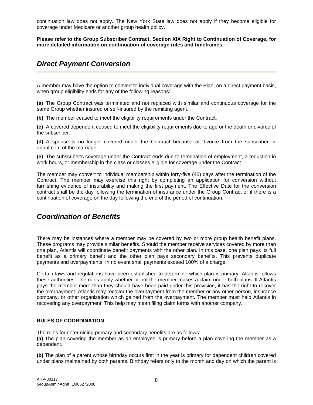continuation law does not apply. The New York State law does not apply if they become eligible for coverage under Medicare or another group health policy.

**Please refer to the Group Subscriber Contract, Section XIX Right to Continuation of Coverage, for more detailed information on continuation of coverage rules and timeframes.** 

## *Direct Payment Conversion*

A member may have the option to convert to individual coverage with the Plan, on a direct payment basis, when group eligibility ends for any of the following reasons:

**(a)** The Group Contract was terminated and not replaced with similar and continuous coverage for the same Group whether insured or self-insured by the remitting agent.

**(b)** The member ceased to meet the eligibility requirements under the Contract.

**(c)** A covered dependent ceased to meet the eligibility requirements due to age or the death or divorce of the subscriber.

**(d)** A spouse is no longer covered under the Contract because of divorce from the subscriber or annulment of the marriage.

**(e)** The subscriber's coverage under the Contract ends due to termination of employment, a reduction in work hours, or membership in the class or classes eligible for coverage under the Contract.

The member may convert to individual membership within forty-five (45) days after the termination of the Contract. The member may exercise this right by completing an application for conversion without furnishing evidence of insurability and making the first payment. The Effective Date for the conversion contract shall be the day following the termination of insurance under the Group Contract or if there is a continuation of coverage on the day following the end of the period of continuation.

# *Coordination of Benefits*

There may be instances where a member may be covered by two or more group health benefit plans. These programs may provide similar benefits. Should the member receive services covered by more than one plan, Atlantis will coordinate benefit payments with the other plan. In this case, one plan pays its full benefit as a primary benefit and the other plan pays secondary benefits. This prevents duplicate payments and overpayments. In no event shall payments exceed 100% of a charge.

Certain laws and regulations have been established to determine which plan is primary. Atlantis follows these authorities. The rules apply whether or not the member makes a claim under both plans. If Atlantis pays the member more than they should have been paid under this provision, it has the right to recover the overpayment. Atlantis may recover the overpayment from the member or any other person, insurance company, or other organization which gained from the overpayment. The member must help Atlantis in recovering any overpayment. This help may mean filing claim forms with another company.

#### **RULES OF COORDINATION**

The rules for determining primary and secondary benefits are as follows: **(a)** The plan covering the member as an employee is primary before a plan covering the member as a dependent.

**(b)** The plan of a parent whose birthday occurs first in the year is primary for dependent children covered under plans maintained by both parents. Birthday refers only to the month and day on which the parent is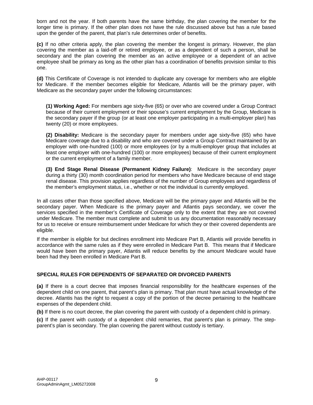born and not the year. If both parents have the same birthday, the plan covering the member for the longer time is primary. If the other plan does not have the rule discussed above but has a rule based upon the gender of the parent, that plan's rule determines order of benefits.

**(c)** If no other criteria apply, the plan covering the member the longest is primary. However, the plan covering the member as a laid-off or retired employee, or as a dependent of such a person, shall be secondary and the plan covering the member as an active employee or a dependent of an active employee shall be primary as long as the other plan has a coordination of benefits provision similar to this one.

**(d)** This Certificate of Coverage is not intended to duplicate any coverage for members who are eligible for Medicare. If the member becomes eligible for Medicare, Atlantis will be the primary payer, with Medicare as the secondary payer under the following circumstances:

**(1) Working Aged:** For members age sixty-five (65) or over who are covered under a Group Contract because of their current employment or their spouse's current employment by the Group, Medicare is the secondary payer if the group (or at least one employer participating in a multi-employer plan) has twenty (20) or more employees.

**(2) Disability:** Medicare is the secondary payer for members under age sixty-five (65) who have Medicare coverage due to a disability and who are covered under a Group Contract maintained by an employer with one-hundred (100) or more employees (or by a multi-employer group that includes at least one employer with one-hundred (100) or more employees) because of their current employment or the current employment of a family member.

**(3) End Stage Renal Disease (Permanent Kidney Failure)**: Medicare is the secondary payer during a thirty (30) month coordination period for members who have Medicare because of end stage renal disease. This provision applies regardless of the number of Group employees and regardless of the member's employment status, i.e., whether or not the individual is currently employed.

In all cases other than those specified above, Medicare will be the primary payer and Atlantis will be the secondary payer. When Medicare is the primary payer and Atlantis pays secondary, we cover the services specified in the member's Certificate of Coverage only to the extent that they are not covered under Medicare. The member must complete and submit to us any documentation reasonably necessary for us to receive or ensure reimbursement under Medicare for which they or their covered dependents are eligible.

If the member is eligible for but declines enrollment into Medicare Part B, Atlantis will provide benefits in accordance with the same rules as if they were enrolled in Medicare Part B. This means that if Medicare would have been the primary payer, Atlantis will reduce benefits by the amount Medicare would have been had they been enrolled in Medicare Part B.

#### **SPECIAL RULES FOR DEPENDENTS OF SEPARATED OR DIVORCED PARENTS**

**(a)** If there is a court decree that imposes financial responsibility for the healthcare expenses of the dependent child on one parent, that parent's plan is primary. That plan must have actual knowledge of the decree. Atlantis has the right to request a copy of the portion of the decree pertaining to the healthcare expenses of the dependent child.

**(b)** If there is no court decree, the plan covering the parent with custody of a dependent child is primary.

**(c)** If the parent with custody of a dependent child remarries, that parent's plan is primary. The stepparent's plan is secondary. The plan covering the parent without custody is tertiary.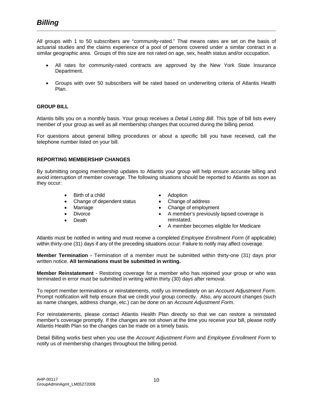All groups with 1 to 50 subscribers are "community-rated." That means rates are set on the basis of actuarial studies and the claims experience of a pool of persons covered under a similar contract in a similar geographic area. Groups of this size are not rated on age, sex, health status and/or occupation.

- All rates for community-rated contracts are approved by the New York State Insurance Department.
- Groups with over 50 subscribers will be rated based on underwriting criteria of Atlantis Health Plan.

#### **GROUP BILL**

Atlantis bills you on a monthly basis. Your group receives a *Detail Listing Bill*. This type of bill lists every member of your group as well as all membership changes that occurred during the billing period.

For questions about general billing procedures or about a specific bill you have received, call the telephone number listed on your bill.

#### **REPORTING MEMBERSHIP CHANGES**

By submitting ongoing membership updates to Atlantis your group will help ensure accurate billing and avoid interruption of member coverage. The following situations should be reported to Atlantis as soon as they occur:

- Birth of a child
- Change of dependent status
- Marriage
- Divorce
- **Death**
- Adoption
- Change of address
- Change of employment
- A member's previously lapsed coverage is reinstated.
- A member becomes eligible for Medicare

Atlantis must be notified in writing and must receive a completed *Employee Enrollment Form* (if applicable) within thirty-one (31) days if any of the preceding situations occur. Failure to notify may affect coverage.

**Member Termination -** Termination of a member must be submitted within thirty-one (31) days prior written notice. **All terminations must be submitted in writing.**

**Member Reinstatement** - Restoring coverage for a member who has rejoined your group or who was terminated in error must be submitted in writing within thirty (30) days after removal.

To report member terminations or reinstatements, notify us immediately on an *Account Adjustment Form*. Prompt notification will help ensure that we credit your group correctly. Also, any account changes (such as name changes, address change, etc.) can be done on an *Account Adjustment Form*.

For reinstatements, please contact Atlantis Health Plan directly so that we can restore a reinstated member's coverage promptly. If the changes are not shown at the time you receive your bill, please notify Atlantis Health Plan so the changes can be made on a timely basis.

Detail Billing works best when you use the *Account Adjustment Form* and *Employee Enrollment Form* to notify us of membership changes throughout the billing period.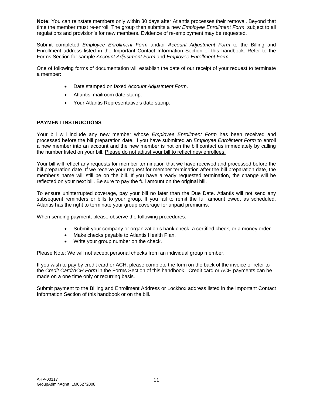**Note:** You can reinstate members only within 30 days after Atlantis processes their removal. Beyond that time the member must re-enroll. The group then submits a new *Employee Enrollment Form*, subject to all regulations and provision's for new members. Evidence of re-employment may be requested.

Submit completed *Employee Enrollment Form* and/or *Account Adjustment Form* to the Billing and Enrollment address listed in the Important Contact Information Section of this handbook. Refer to the Forms Section for sample *Account Adjustment Form* and *Employee Enrollment Form*.

One of following forms of documentation will establish the date of our receipt of your request to terminate a member:

- Date stamped on faxed *Account Adjustment Form*.
- Atlantis' mailroom date stamp.
- Your Atlantis Representative's date stamp.

#### **PAYMENT INSTRUCTIONS**

Your bill will include any new member whose *Employee Enrollment Form* has been received and processed before the bill preparation date. If you have submitted an *Employee Enrollment Form* to enroll a new member into an account and the new member is not on the bill contact us immediately by calling the number listed on your bill. Please do not adjust your bill to reflect new enrollees.

Your bill will reflect any requests for member termination that we have received and processed before the bill preparation date. If we receive your request for member termination after the bill preparation date, the member's name will still be on the bill. If you have already requested termination, the change will be reflected on your next bill. Be sure to pay the full amount on the original bill.

To ensure uninterrupted coverage, pay your bill no later than the Due Date. Atlantis will not send any subsequent reminders or bills to your group. If you fail to remit the full amount owed, as scheduled, Atlantis has the right to terminate your group coverage for unpaid premiums.

When sending payment, please observe the following procedures:

- Submit your company or organization's bank check, a certified check, or a money order.
- Make checks payable to Atlantis Health Plan.
- Write your group number on the check.

Please Note: We will not accept personal checks from an individual group member.

If you wish to pay by credit card or ACH, please complete the form on the back of the invoice or refer to the *Credit Card/ACH Form* in the Forms Section of this handbook. Credit card or ACH payments can be made on a one time only or recurring basis.

Submit payment to the Billing and Enrollment Address or Lockbox address listed in the Important Contact Information Section of this handbook or on the bill.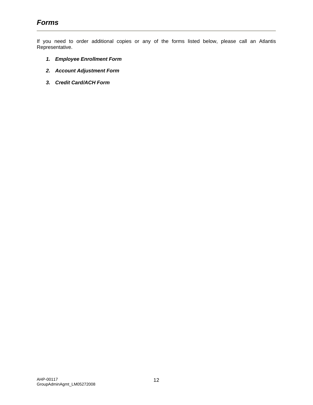If you need to order additional copies or any of the forms listed below, please call an Atlantis Representative.

- *1. Employee Enrollment Form*
- *2. Account Adjustment Form*
- *3. Credit Card/ACH Form*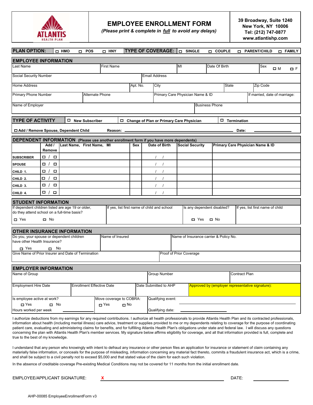

#### **EMPLOYEE ENROLLMENT FORM**

*(Please print & complete in full to avoid any delays)*

**39 Broadway, Suite 1240 New York, NY 10006 Tel: (212) 747-0877 www.atlantishp.com**

| <b>PLAN OPTION:</b>                                                                              |                  | <b>D HMO</b> | <b>POS</b><br>$\Box$             | <b>D HNY</b>            |                 |          | <b>TYPE OF COVERAGE:</b>                    | <b>D</b> SINGLE         |                                        | □ COUPLE      |               | <b>PARENT/CHILD</b>                              |             | <b>O</b> FAMILY |
|--------------------------------------------------------------------------------------------------|------------------|--------------|----------------------------------|-------------------------|-----------------|----------|---------------------------------------------|-------------------------|----------------------------------------|---------------|---------------|--------------------------------------------------|-------------|-----------------|
| <b>EMPLOYEE INFORMATION</b>                                                                      |                  |              |                                  |                         |                 |          |                                             |                         |                                        |               |               |                                                  |             |                 |
| ast Name                                                                                         |                  |              |                                  | First Name              |                 |          |                                             | MI                      |                                        | Date Of Birth |               | Sex                                              | $\square$ M | $\Box$ F        |
| Social Security Number                                                                           |                  |              |                                  |                         |                 |          | <b>Email Address</b>                        |                         |                                        |               |               |                                                  |             |                 |
| <b>Home Address</b>                                                                              |                  |              |                                  |                         |                 | Apt. No. | City                                        |                         |                                        |               | <b>State</b>  | Zip Code                                         |             |                 |
| Primary Phone Number                                                                             |                  |              |                                  | Alternate Phone         |                 |          | Primary Care Physician Name & ID            |                         |                                        |               |               | If married, date of marriage:                    |             |                 |
|                                                                                                  |                  |              |                                  |                         |                 |          |                                             |                         |                                        |               |               |                                                  |             |                 |
| Name of Employer                                                                                 |                  |              |                                  |                         |                 |          |                                             |                         | <b>Business Phone</b>                  |               |               |                                                  |             |                 |
|                                                                                                  |                  |              |                                  |                         |                 |          |                                             |                         |                                        |               |               |                                                  |             |                 |
| <b>TYPE OF ACTIVITY</b>                                                                          |                  |              | $\Box$ New Subscriber            |                         |                 |          | □ Change of Plan or Primary Care Physician  |                         |                                        | □             | Termination   |                                                  |             |                 |
| □ Add / Remove Spouse, Dependent Child                                                           |                  |              |                                  |                         | Reason: _       |          |                                             |                         |                                        |               | Date:         |                                                  |             |                 |
| <b>DEPENDENT INFORMATION</b> (Please use another enrollment form if you have more dependents)    |                  |              |                                  |                         |                 |          |                                             |                         |                                        |               |               |                                                  |             |                 |
|                                                                                                  | Add /<br>Remove  |              | Last Name, First Name, MI        |                         |                 | Sex      | Date of Birth                               | <b>Social Security</b>  |                                        |               |               | Primary Care Physician Name & ID                 |             |                 |
| <b>SUBSCRIBER</b>                                                                                | □ /<br>$\Box$    |              |                                  |                         |                 |          | $\sqrt{ }$                                  |                         |                                        |               |               |                                                  |             |                 |
| <b>SPOUSE</b>                                                                                    | $\Box$<br>$\Box$ |              |                                  |                         |                 |          | $\prime$<br>$\sqrt{ }$                      |                         |                                        |               |               |                                                  |             |                 |
| CHILD 1.                                                                                         | $\Box$<br>$\Box$ |              |                                  |                         |                 |          | $\prime$                                    |                         |                                        |               |               |                                                  |             |                 |
| CHILD <sub>2.</sub>                                                                              | $\Box$<br>$\Box$ |              |                                  |                         |                 |          |                                             |                         |                                        |               |               |                                                  |             |                 |
| CHILD 3.                                                                                         | $\Box$<br>$\Box$ |              |                                  |                         |                 |          | $\prime$                                    |                         |                                        |               |               |                                                  |             |                 |
| CHILD 4.                                                                                         | $\Box$<br>$\Box$ |              |                                  |                         |                 |          | $\prime$                                    |                         |                                        |               |               |                                                  |             |                 |
| <b>STUDENT INFORMATION</b>                                                                       |                  |              |                                  |                         |                 |          |                                             |                         |                                        |               |               |                                                  |             |                 |
| If dependent children listed are age 19 or older,<br>do they attend school on a full-time basis? |                  |              |                                  |                         |                 |          | If yes, list first name of child and school |                         | Is any dependent disabled?             |               |               | If yes, list first name of child                 |             |                 |
| □ Yes                                                                                            | $\Box$ No        |              |                                  |                         |                 |          |                                             |                         | $\blacksquare$ Yes<br>$\Box$ No        |               |               |                                                  |             |                 |
|                                                                                                  |                  |              |                                  |                         |                 |          |                                             |                         |                                        |               |               |                                                  |             |                 |
| <b>OTHER INSURANCE INFORMATION</b><br>Do you, your spouse or dependent children                  |                  |              |                                  |                         | Name of Insured |          |                                             |                         | Name of Insurance carrier & Policy No. |               |               |                                                  |             |                 |
| have other Health Insurance?                                                                     |                  |              |                                  |                         |                 |          |                                             |                         |                                        |               |               |                                                  |             |                 |
| □ Yes                                                                                            | $\Box$ No        |              |                                  |                         |                 |          |                                             |                         |                                        |               |               |                                                  |             |                 |
| Give Name of Prior Insurer and Date of Termination                                               |                  |              |                                  |                         |                 |          |                                             | Proof of Prior Coverage |                                        |               |               |                                                  |             |                 |
| <b>EMPLOYER INFORMATION</b>                                                                      |                  |              |                                  |                         |                 |          |                                             |                         |                                        |               |               |                                                  |             |                 |
| Name of Group                                                                                    |                  |              |                                  |                         |                 |          | Group Number                                |                         |                                        |               | Contract Plan |                                                  |             |                 |
| <b>Employment Hire Date</b>                                                                      |                  |              | <b>Enrollment Effective Date</b> |                         |                 |          | Date Submitted to AHP                       |                         |                                        |               |               | Approved by (employer representative signature): |             |                 |
| Is employee active at work?                                                                      |                  |              |                                  | Move coverage to COBRA: |                 |          | Qualifying event:                           |                         |                                        |               |               |                                                  |             |                 |
| $\Box$ Yes                                                                                       | $\Box$ No        |              |                                  | $\Box$ Yes              | $\Box$ No       |          |                                             |                         |                                        |               |               |                                                  |             |                 |
| Hours worked per week                                                                            |                  |              |                                  |                         |                 |          | Qualifying date:                            |                         |                                        |               |               |                                                  |             |                 |

I authorize deductions from my earnings for any required contributions. I authorize all health professionals to provide Atlantis Health Plan and its contracted professionals, information about health (including mental illness) care advice, treatment or supplies provided to me or my dependents relating to coverage for the purpose of coordinating patient care, evaluating and administering claims for benefits, and for fulfilling Atlantis Health Plan's obligations under state and federal law. I will discuss any questions concerning the plan with Atlantis Health Plan's member services. My signature below affirms eligibility for coverage, and all that information provided is full, complete and true to the best of my knowledge.

I understand that any person who knowingly with intent to defraud any insurance or other person files an application for insurance or statement of claim containing any materially false information, or conceals for the purpose of misleading, information concerning any material fact thereto, commits a fraudulent insurance act, which is a crime, and shall be subject to a civil penalty not to exceed \$5,000 and that stated value of the claim for each such violation.

In the absence of creditable coverage Pre-existing Medical Conditions may not be covered for 11 months from the initial enrollment date.

EMPLOYEE/APPLICANT SIGNATURE: **X** DATE: EMPLOYEE/APPLICANT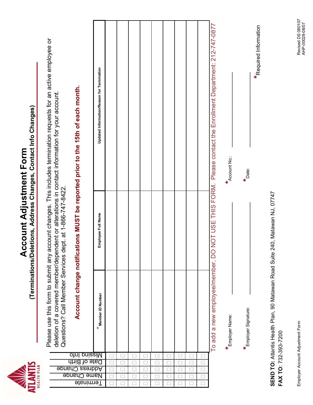

| i<br>I                                                      |  |
|-------------------------------------------------------------|--|
|                                                             |  |
| FAL AC                                                      |  |
|                                                             |  |
|                                                             |  |
|                                                             |  |
|                                                             |  |
|                                                             |  |
|                                                             |  |
|                                                             |  |
|                                                             |  |
|                                                             |  |
|                                                             |  |
|                                                             |  |
|                                                             |  |
|                                                             |  |
|                                                             |  |
|                                                             |  |
| ֧֧֧֧֧֧֧֧֪֧֧֧֚֚֚֚֚֚֚֚֚֚֚֚֚֚֚֚֚֚֚֚֚֚֚֚֚֚֚֡֝֓֝֓֝֓֝֓֝֓֝֓֡֓֝֓֝֬֝ |  |
|                                                             |  |
|                                                             |  |
|                                                             |  |
| <b>Alima Alana</b>                                          |  |
|                                                             |  |
|                                                             |  |
|                                                             |  |

| NOT USE THIS FORM. Please contact the Enrollment Department: 212-747-0877<br>Updated Information/Reason for Termination<br>Account change notifications MUST be reported prior to the 15th of each month.<br>deletion of a covered memoependepent or alterations in contact information for your account.<br><b>Account No.:</b><br>Questions? Call Member Services dept. at 1-866-747-8422.<br>Employee Full Name<br>To add a new employee/member, DO<br>Member ID Number<br>Employer Name:<br><u>pniseiM</u><br>otnl<br>Date of Birth<br>Address Change<br>Name Change |                  |  |  |  |  |  |  |
|--------------------------------------------------------------------------------------------------------------------------------------------------------------------------------------------------------------------------------------------------------------------------------------------------------------------------------------------------------------------------------------------------------------------------------------------------------------------------------------------------------------------------------------------------------------------------|------------------|--|--|--|--|--|--|
|                                                                                                                                                                                                                                                                                                                                                                                                                                                                                                                                                                          |                  |  |  |  |  |  |  |
|                                                                                                                                                                                                                                                                                                                                                                                                                                                                                                                                                                          |                  |  |  |  |  |  |  |
|                                                                                                                                                                                                                                                                                                                                                                                                                                                                                                                                                                          | <b>Ferminate</b> |  |  |  |  |  |  |

**SEND TO:** Atlantis Health Plan, 90 Matawan Road Suite 240, Matawan NJ, 07747 SEND TO: Atlantis Health Plan, 90 Matawan Road Suite 240, Matawan NJ, 07747 FAX TO: 732-393-7200 **FAX TO**: 732-393-7200

**\***

Employer Signature: \_\_\_\_\_\_\_\_\_\_\_\_\_\_\_\_\_\_\_\_\_\_\_\_\_\_\_ **\***Date: \_\_\_\_\_\_\_\_\_\_\_\_\_\_\_\_\_\_\_\_\_\_

 $\star$ Date:

**\***Required Information

\*Required Information